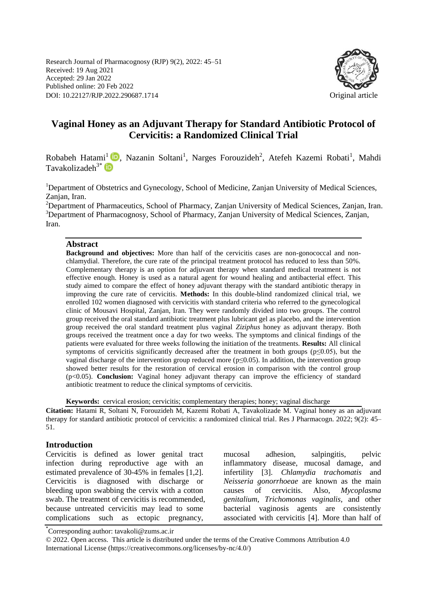Research Journal of Pharmacognosy (RJP) 9(2), 2022: 45–51 Received: 19 Aug 2021 Accepted: 29 Jan 2022 Published online: 20 Feb 2022 DOI: 10.22127/RJP.2022.290687.1714 Original article



# **Vaginal Honey as an Adjuvant Therapy for Standard Antibiotic Protocol of Cervicitis: a Randomized Clinical Trial**

Robabeh Hatami<sup>1</sup> D, Nazanin Soltani<sup>1</sup>, Narges Forouzideh<sup>2</sup>, Atefeh Kazemi Robati<sup>1</sup>, Mahdi  $Tavakolizable<sup>3*</sup>$ 

<sup>1</sup>Department of Obstetrics and Gynecology, School of Medicine, Zanjan University of Medical Sciences, Zanjan, Iran.

<sup>2</sup>Department of Pharmaceutics, School of Pharmacy, Zanjan University of Medical Sciences, Zanjan, Iran. <sup>3</sup>Department of Pharmacognosy, School of Pharmacy, Zanjan University of Medical Sciences, Zanjan, Iran.

#### **Abstract**

**Background and objectives:** More than half of the cervicitis cases are non-gonococcal and nonchlamydial. Therefore, the cure rate of the principal treatment protocol has reduced to less than 50%. Complementary therapy is an option for adjuvant therapy when standard medical treatment is not effective enough. Honey is used as a natural agent for wound healing and antibacterial effect. This study aimed to compare the effect of honey adjuvant therapy with the standard antibiotic therapy in improving the cure rate of cervicitis. **Methods:** In this double-blind randomized clinical trial, we enrolled 102 women diagnosed with cervicitis with standard criteria who referred to the gynecological clinic of Mousavi Hospital, Zanjan, Iran. They were randomly divided into two groups. The control group received the oral standard antibiotic treatment plus lubricant gel as placebo, and the intervention group received the oral standard treatment plus vaginal *Ziziphus* honey as adjuvant therapy. Both groups received the treatment once a day for two weeks. The symptoms and clinical findings of the patients were evaluated for three weeks following the initiation of the treatments. **Results:** All clinical symptoms of cervicitis significantly decreased after the treatment in both groups ( $p\leq 0.05$ ), but the vaginal discharge of the intervention group reduced more (p≤0.05). In addition, the intervention group showed better results for the restoration of cervical erosion in comparison with the control group (p<0.05). **Conclusion:** Vaginal honey adjuvant therapy can improve the efficiency of standard antibiotic treatment to reduce the clinical symptoms of cervicitis.

**Keywords:** cervical erosion; cervicitis; complementary therapies; honey; vaginal discharge

**Citation:** Hatami R, Soltani N, Forouzideh M, Kazemi Robati A, Tavakolizade M. Vaginal honey as an adjuvant therapy for standard antibiotic protocol of cervicitis: a randomized clinical trial. Res J Pharmacogn. 2022; 9(2): 45– 51.

#### **Introduction**

Cervicitis is defined as lower genital tract infection during reproductive age with an estimated prevalence of 30-45% in females [\[1](#page-5-0)[,2\]](#page-5-1). Cervicitis is diagnosed with discharge or bleeding upon swabbing the cervix with a cotton swab. The treatment of cervicitis is recommended, because untreated cervicitis may lead to some complications such as ectopic pregnancy,

mucosal adhesion, salpingitis, pelvic inflammatory disease, mucosal damage, and infertility [\[3\]](#page-5-2). *Chlamydia trachomatis* and *Neisseria gonorrhoeae* are known as the main causes of cervicitis. Also, *Mycoplasma genitalium*, *Trichomonas vaginalis,* and other bacterial vaginosis agents are consistently associated with cervicitis [\[4\]](#page-5-3). More than half of

\* Corresponding author: tavakoli@zums.ac.ir

<sup>© 2022.</sup> Open access. This article is distributed under the terms of the Creative Commons Attribution 4.0 International License (https://creativecommons.org/licenses/by-nc/4.0/)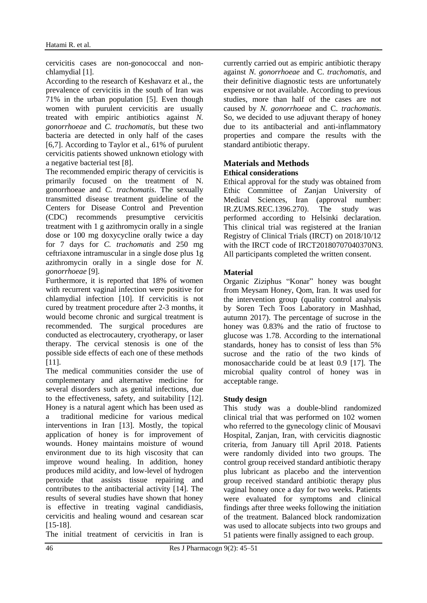cervicitis cases are non-gonococcal and nonchlamydial [1].

According to the research of Keshavarz et al., the prevalence of cervicitis in the south of Iran was 71% in the urban population [\[5\]](#page-5-4). Even though women with purulent cervicitis are usually treated with empiric antibiotics against *N. gonorrhoeae* and *C. trachomatis*, but these two bacteria are detected in only half of the cases [\[6](#page-5-5)[,7\]](#page-6-0). According to Taylor et al., 61% of purulent cervicitis patients showed unknown etiology with a negative bacterial test [\[8\]](#page-6-1).

The recommended empiric therapy of cervicitis is primarily focused on the treatment of N. gonorrhoeae and *C. trachomatis*. The sexually transmitted disease treatment guideline of the Centers for Disease Control and Prevention (CDC) recommends presumptive cervicitis treatment with 1 g azithromycin orally in a single dose or 100 mg doxycycline orally twice a day for 7 days for *C. trachomatis* and 250 mg ceftriaxone intramuscular in a single dose plus 1g azithromycin orally in a single dose for *N. gonorrhoeae* [\[9\]](#page-6-2).

Furthermore, it is reported that 18% of women with recurrent vaginal infection were positive for chlamydial infection [\[10\]](#page-6-2). If cervicitis is not cured by treatment procedure after 2-3 months, it would become chronic and surgical treatment is recommended. The surgical procedures are conducted as electrocautery, cryotherapy, or laser therapy. The cervical stenosis is one of the possible side effects of each one of these methods [\[11\]](#page-6-3).

The medical communities consider the use of complementary and alternative medicine for several disorders such as genital infections, due to the effectiveness, safety, and suitability [\[12\]](#page-6-4). Honey is a natural agent which has been used as a traditional medicine for various medical interventions in Iran [\[13\]](#page-6-5). Mostly, the topical application of honey is for improvement of wounds. Honey maintains moisture of wound environment due to its high viscosity that can improve wound healing. In addition, honey produces mild acidity, and low-level of hydrogen peroxide that assists tissue repairing and contributes to the antibacterial activity [14]. The results of several studies have shown that honey is effective in treating vaginal candidiasis, cervicitis and healing wound and cesarean scar [15-18].

The initial treatment of cervicitis in Iran is

currently carried out as empiric antibiotic therapy against *N. gonorrhoeae* and C. *trachomatis*, and their definitive diagnostic tests are unfortunately expensive or not available. According to previous studies, more than half of the cases are not caused by *N. gonorrhoeae* and C. *trachomatis*. So, we decided to use adjuvant therapy of honey due to its antibacterial and anti-inflammatory properties and compare the results with the standard antibiotic therapy.

### **Materials and Methods Ethical considerations**

Ethical approval for the study was obtained from Ethic Committee of Zanjan University of Medical Sciences, Iran (approval number: IR.ZUMS.REC.1396.270). The study was performed according to Helsinki declaration. This clinical trial was registered at the Iranian Registry of Clinical Trials (IRCT) on 2018/10/12 with the IRCT code of IRCT20180707040370N3. All participants completed the written consent.

# **Material**

Organic Ziziphus "Konar" honey was bought from Meysam Honey, Qom, Iran. It was used for the intervention group (quality control analysis by Soren Tech Toos Laboratory in Mashhad, autumn 2017). The percentage of sucrose in the honey was 0.83% and the ratio of fructose to glucose was 1.78. According to the international standards, honey has to consist of less than 5% sucrose and the ratio of the two kinds of monosaccharide could be at least 0.9 [17]. The microbial quality control of honey was in acceptable range.

# **Study design**

This study was a double-blind randomized clinical trial that was performed on 102 women who referred to the gynecology clinic of Mousavi Hospital, Zanjan, Iran, with cervicitis diagnostic criteria, from January till April 2018. Patients were randomly divided into two groups. The control group received standard antibiotic therapy plus lubricant as placebo and the intervention group received standard antibiotic therapy plus vaginal honey once a day for two weeks. Patients were evaluated for symptoms and clinical findings after three weeks following the initiation of the treatment. Balanced block randomization was used to allocate subjects into two groups and 51 patients were finally assigned to each group.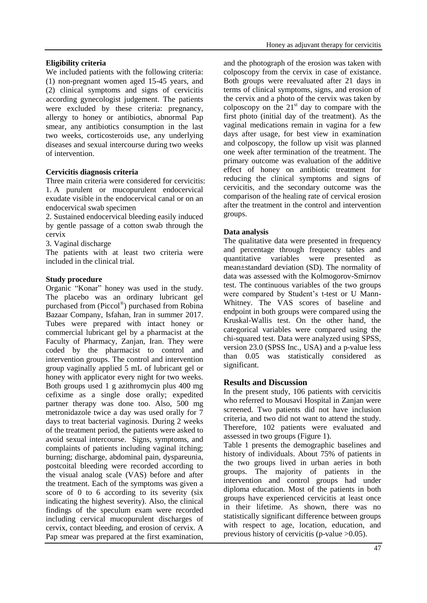### **Eligibility criteria**

We included patients with the following criteria: (1) non-pregnant women aged 15-45 years, and (2) clinical symptoms and signs of cervicitis according gynecologist judgement. The patients were excluded by these criteria: pregnancy, allergy to honey or antibiotics, abnormal Pap smear, any antibiotics consumption in the last two weeks, corticosteroids use, any underlying diseases and sexual intercourse during two weeks of intervention.

#### **Cervicitis diagnosis criteria**

Three main criteria were considered for cervicitis: 1. A purulent or mucopurulent endocervical exudate visible in the endocervical canal or on an endocervical swab specimen

2. Sustained endocervical bleeding easily induced by gentle passage of a cotton swab through the cervix

3. Vaginal discharge

The patients with at least two criteria were included in the clinical trial.

#### **Study procedure**

Organic "Konar" honey was used in the study. The placebo was an ordinary lubricant gel purchased from (Piccol® ) purchased from Robina Bazaar Company, Isfahan, Iran in summer 2017. Tubes were prepared with intact honey or commercial lubricant gel by a pharmacist at the Faculty of Pharmacy, Zanjan, Iran. They were coded by the pharmacist to control and intervention groups. The control and intervention group vaginally applied 5 mL of lubricant gel or honey with applicator every night for two weeks. Both groups used 1 g azithromycin plus 400 mg cefixime as a single dose orally; expedited partner therapy was done too. Also, 500 mg metronidazole twice a day was used orally for 7 days to treat bacterial vaginosis. During 2 weeks of the treatment period, the patients were asked to avoid sexual intercourse. Signs, symptoms, and complaints of patients including vaginal itching; burning; discharge, abdominal pain, dyspareunia, postcoital bleeding were recorded according to the visual analog scale (VAS) before and after the treatment. Each of the symptoms was given a score of 0 to 6 according to its severity (six indicating the highest severity). Also, the clinical findings of the speculum exam were recorded including cervical mucopurulent discharges of cervix, contact bleeding, and erosion of cervix. A Pap smear was prepared at the first examination,

and the photograph of the erosion was taken with colposcopy from the cervix in case of existance. Both groups were reevaluated after 21 days in terms of clinical symptoms, signs, and erosion of the cervix and a photo of the cervix was taken by colposcopy on the  $21<sup>st</sup>$  day to compare with the first photo (initial day of the treatment). As the vaginal medications remain in vagina for a few days after usage, for best view in examination and colposcopy, the follow up visit was planned one week after termination of the treatment. The primary outcome was evaluation of the additive effect of honey on antibiotic treatment for reducing the clinical symptoms and signs of cervicitis, and the secondary outcome was the comparison of the healing rate of cervical erosion after the treatment in the control and intervention groups.

#### **Data analysis**

The qualitative data were presented in frequency and percentage through frequency tables and quantitative variables were presented as mean±standard deviation (SD). The normality of data was assessed with the Kolmogorov-Smirnov test. The continuous variables of the two groups were compared by Student's t-test or U Mann-Whitney. The VAS scores of baseline and endpoint in both groups were compared using the Kruskal-Wallis test. On the other hand, the categorical variables were compared using the chi-squared test. Data were analyzed using SPSS, version 23.0 (SPSS Inc., USA) and a p-value less than 0.05 was statistically considered as significant.

# **Results and Discussion**

In the present study, 106 patients with cervicitis who referred to Mousavi Hospital in Zanjan were screened. Two patients did not have inclusion criteria, and two did not want to attend the study. Therefore, 102 patients were evaluated and assessed in two groups (Figure 1).

Table 1 presents the demographic baselines and history of individuals. About 75% of patients in the two groups lived in urban aeries in both groups. The majority of patients in the intervention and control groups had under diploma education. Most of the patients in both groups have experienced cervicitis at least once in their lifetime. As shown, there was no statistically significant difference between groups with respect to age, location, education, and previous history of cervicitis (p-value >0.05).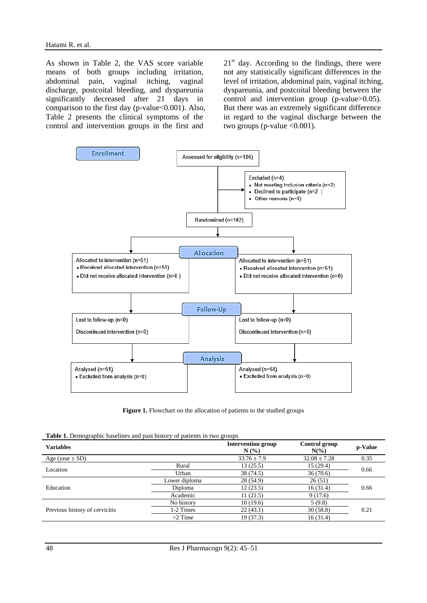As shown in Table 2, the VAS score variable means of both groups including irritation, abdominal pain, vaginal itching, vaginal discharge, postcoital bleeding, and dyspareunia significantly decreased after 21 days in comparison to the first day ( $p$ -value $<0.001$ ). Also, Table 2 presents the clinical symptoms of the control and intervention groups in the first and

 $21<sup>st</sup>$  day. According to the findings, there were not any statistically significant differences in the level of irritation, abdominal pain, vaginal itching, dyspareunia, and postcoital bleeding between the control and intervention group (p-value>0.05). But there was an extremely significant difference in regard to the vaginal discharge between the two groups (p-value  $<0.001$ ).



Figure 1. Flowchart on the allocation of patients to the studied groups

| <b>Table 1.</b> Demographic baselines and past history of patients in two groups |
|----------------------------------------------------------------------------------|
|----------------------------------------------------------------------------------|

| <b>Variables</b>               |               | <b>Intervention group</b><br>N(%) | Control group<br>$N(\%)$ | p-Value |  |
|--------------------------------|---------------|-----------------------------------|--------------------------|---------|--|
| Age (year $\pm$ SD)            |               | $33.76 \pm 7.9$                   | $32.08 \pm 7.28$         | 0.35    |  |
| Location                       | Rural         | 13(25.5)                          | 15(29.4)                 | 0.66    |  |
|                                | Urban         | 38 (74.5)                         | 36(70.6)                 |         |  |
| Education                      | Lower diploma | 28 (54.9)                         | 26(51)                   |         |  |
|                                | Diploma       | 12(23.5)                          | 16(31.4)                 | 0.66    |  |
|                                | Academic      | 11(21.5)                          | 9(17.6)                  |         |  |
| Previous history of cervicitis | No history    | 10(19.6)                          | 5(9.8)                   |         |  |
|                                | 1-2 Times     | 22(43.1)                          | 30(58.8)                 | 0.21    |  |
|                                | $>2$ Time     | 19 (37.3)                         | 16(31.4)                 |         |  |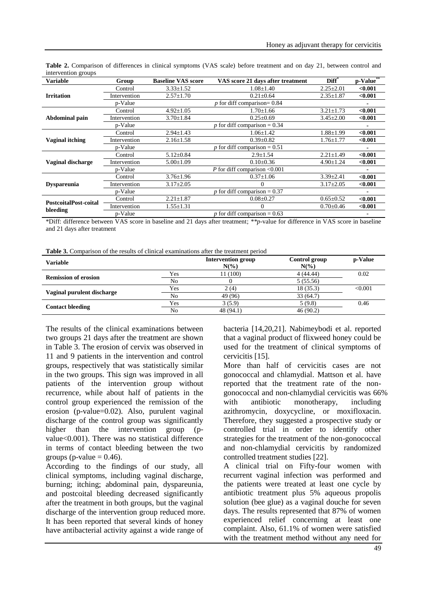| <b>Variable</b>                   | Group        | <b>Baseline VAS score</b>      | VAS score 21 days after treatment         | Diff <sup>*</sup> | p-Value |
|-----------------------------------|--------------|--------------------------------|-------------------------------------------|-------------------|---------|
|                                   | Control      | $3.33 \pm 1.52$                | $1.08 \pm 1.40$                           | $2.25 \pm 2.01$   | < 0.001 |
| <b>Irritation</b>                 | Intervention | $2.57 \pm 1.70$                | $0.21 \pm 0.64$                           | $2.35 \pm 1.87$   | < 0.001 |
|                                   | p-Value      | $p$ for diff comparison= 0.84  |                                           |                   |         |
| Abdominal pain                    | Control      | $4.92 \pm 1.05$                | $1.70 \pm 1.66$                           | $3.21 \pm 1.73$   | < 0.001 |
|                                   | Intervention | $3.70 \pm 1.84$                | $0.25 \pm 0.69$                           | $3.45 \pm 2.00$   | < 0.001 |
|                                   | p-Value      |                                | p for diff comparison = $0.34$            |                   |         |
| <b>Vaginal itching</b>            | Control      | $2.94 \pm 1.43$                | $1.06 \pm 1.42$                           | $1.88 \pm 1.99$   | < 0.001 |
|                                   | Intervention | $2.16 \pm 1.58$                | $0.39 \pm 0.82$                           | $1.76 \pm 1.77$   | < 0.001 |
|                                   | p-Value      |                                | p for diff comparison = $\overline{0.51}$ |                   |         |
| <b>Vaginal discharge</b>          | Control      | $5.12 \pm 0.84$                | $2.9 \pm 1.54$                            | $2.21 \pm 1.49$   | < 0.001 |
|                                   | Intervention | $5.00 \pm 1.09$                | $0.10\pm0.36$                             | $4.90 \pm 1.24$   | < 0.001 |
|                                   | p-Value      |                                | P for diff comparison $< 0.001$           |                   |         |
| <b>Dyspareunia</b>                | Control      | $3.76 \pm 1.96$                | $0.37 \pm 1.06$                           | $3.39 \pm 2.41$   | < 0.001 |
|                                   | Intervention | $3.17 \pm 2.05$                |                                           | $3.17 \pm 2.05$   | < 0.001 |
|                                   | p-Value      | p for diff comparison = $0.37$ |                                           |                   |         |
| PostcoitalPost-coital<br>bleeding | Control      | $2.21 \pm 1.87$                | $0.08 \pm 0.27$                           | $0.65 \pm 0.52$   | < 0.001 |
|                                   | Intervention | $1.55 \pm 1.31$                |                                           | $0.70 \pm 0.46$   | < 0.001 |
|                                   | p-Value      |                                | p for diff comparison = $0.63$            |                   |         |

**Table 2.** Comparison of differences in clinical symptoms (VAS scale) before treatment and on day 21, between control and intervention groups

\*Diff: difference between VAS score in baseline and 21 days after treatment; *\*\*p*-value for difference in VAS score in baseline and 21 days after treatment

| <b>Table 3.</b> Comparison of the results of clinical examinations after the treatment period |  |
|-----------------------------------------------------------------------------------------------|--|
|-----------------------------------------------------------------------------------------------|--|

| <b>Variable</b>             |                | <b>Intervention group</b><br>$N(\%)$ | Control group<br>$N\left(\%\right)$ | p-Value |
|-----------------------------|----------------|--------------------------------------|-------------------------------------|---------|
| <b>Remission of erosion</b> | Yes            | 11 (100)                             | 4(44.44)                            | 0.02    |
|                             | N <sub>0</sub> |                                      | 5(55.56)                            |         |
| Vaginal purulent discharge  | Yes            | 2(4)                                 | 18 (35.3)                           | < 0.001 |
|                             | No             | 49 (96)                              | 33(64.7)                            |         |
| <b>Contact bleeding</b>     | Yes            | 3(5.9)                               | 5(9.8)                              | 0.46    |
|                             | No             | 48 (94.1)                            | 46(90.2)                            |         |

The results of the clinical examinations between two groups 21 days after the treatment are shown in Table 3. The erosion of cervix was observed in 11 and 9 patients in the intervention and control groups, respectively that was statistically similar in the two groups. This sign was improved in all patients of the intervention group without recurrence, while about half of patients in the control group experienced the remission of the erosion (p-value=0.02). Also, purulent vaginal discharge of the control group was significantly higher than the intervention group (pvalue<0.001). There was no statistical difference in terms of contact bleeding between the two groups (p-value  $= 0.46$ ).

According to the findings of our study, all clinical symptoms, including vaginal discharge, burning; itching; abdominal pain, dyspareunia, and postcoital bleeding decreased significantly after the treatment in both groups, but the vaginal discharge of the intervention group reduced more. It has been reported that several kinds of honey have antibacterial activity against a wide range of

bacteria [\[14,](#page-6-6)[20](#page-6-7)[,21\]](#page-6-8). Nabimeybodi et al. reported that a vaginal product of flixweed honey could be used for the treatment of clinical symptoms of cervicitis [\[15\]](#page-6-9).

More than half of cervicitis cases are not gonococcal and chlamydial. Mattson et al. have reported that the treatment rate of the nongonococcal and non-chlamydial cervicitis was 66% with antibiotic monotherapy, including azithromycin, doxycycline, or moxifloxacin. Therefore, they suggested a prospective study or controlled trial in order to identify other strategies for the treatment of the non-gonococcal and non-chlamydial cervicitis by randomized controlled treatment studies [\[22\]](#page-6-9).

A clinical trial on Fifty-four women with recurrent vaginal infection was performed and the patients were treated at least one cycle by antibiotic treatment plus 5% aqueous propolis solution (bee glue) as a vaginal douche for seven days. The results represented that 87% of women experienced relief concerning at least one complaint. Also, 61.1% of women were satisfied with the treatment method without any need for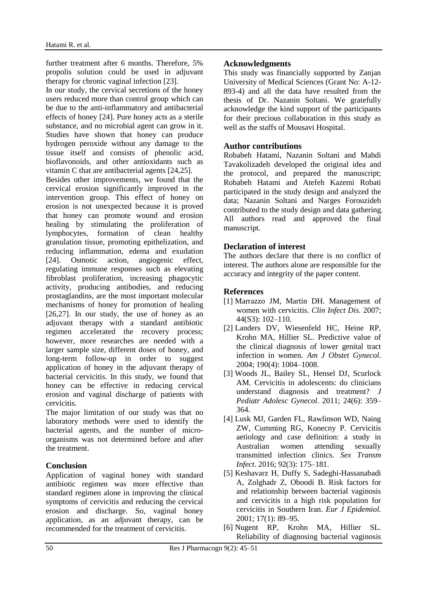further treatment after 6 months. Therefore, 5% propolis solution could be used in adjuvant therapy for chronic vaginal infection [\[23\]](#page-6-10).

In our study, the cervical secretions of the honey users reduced more than control group which can be due to the anti-inflammatory and antibacterial effects of honey [\[24\]](#page-6-11). Pure honey acts as a sterile substance, and no microbial agent can grow in it. Studies have shown that honey can produce hydrogen peroxide without any damage to the tissue itself and consists of phenolic acid, bioflavonoids, and other antioxidants such as vitamin C that are antibacterial agents [\[24,](#page-6-11)[25\]](#page-6-12).

Besides other improvements, we found that the cervical erosion significantly improved in the intervention group. This effect of honey on erosion is not unexpected because it is proved that honey can promote wound and erosion healing by stimulating the proliferation of lymphocytes, formation of clean healthy granulation tissue, promoting epithelization, and reducing inflammation, edema and exudation [\[24\]](#page-6-11). Osmotic action, angiogenic effect, regulating immune responses such as elevating fibroblast proliferation, increasing phagocytic activity, producing antibodies, and reducing prostaglandins, are the most important molecular mechanisms of honey for promotion of healing [\[26](#page-6-13)[,27\]](#page-6-14). In our study, the use of honey as an adjuvant therapy with a standard antibiotic regimen accelerated the recovery process; however, more researches are needed with a larger sample size, different doses of honey, and long-term follow-up in order to suggest application of honey in the adjuvant therapy of bacterial cervicitis. In this study, we found that honey can be effective in reducing cervical erosion and vaginal discharge of patients with cervicitis.

The major limitation of our study was that no laboratory methods were used to identify the bacterial agents, and the number of microorganisms was not determined before and after the treatment.

# **Conclusion**

Application of vaginal honey with standard antibiotic regimen was more effective than standard regimen alone in improving the clinical symptoms of cervicitis and reducing the cervical erosion and discharge. So, vaginal honey application, as an adjuvant therapy, can be recommended for the treatment of cervicitis.

# **Acknowledgments**

This study was financially supported by Zanjan University of Medical Sciences (Grant No: A-12- 893-4) and all the data have resulted from the thesis of Dr. Nazanin Soltani. We gratefully acknowledge the kind support of the participants for their precious collaboration in this study as well as the staffs of Mousavi Hospital.

# **Author contributions**

Robabeh Hatami, Nazanin Soltani and Mahdi Tavakolizadeh developed the original idea and the protocol, and prepared the manuscript; Robabeh Hatami and Atefeh Kazemi Robati participated in the study design and analyzed the data; Nazanin Soltani and Narges Forouzideh contributed to the study design and data gathering. All authors read and approved the final manuscript.

#### **Declaration of interest**

The authors declare that there is no conflict of interest. The authors alone are responsible for the accuracy and integrity of the paper content.

#### **References**

- <span id="page-5-0"></span>[1] Marrazzo JM, Martin DH. Management of women with cervicitis. *Clin Infect Dis.* 2007; 44(S3): 102–110.
- <span id="page-5-1"></span>[2] Landers DV, Wiesenfeld HC, Heine RP, Krohn MA, Hillier SL. Predictive value of the clinical diagnosis of lower genital tract infection in women. *Am J Obstet Gynecol*. 2004; 190(4): 1004–1008.
- <span id="page-5-2"></span>[3] Woods JL, Bailey SL, Hensel DJ, Scurlock AM. Cervicitis in adolescents: do clinicians understand diagnosis and treatment? *J Pediatr Adolesc Gynecol*. 2011; 24(6): 359– 364.
- <span id="page-5-3"></span>[4] Lusk MJ, Garden FL, Rawlinson WD, Naing ZW, Cumming RG, Konecny P. Cervicitis aetiology and case definition: a study in Australian women attending sexually transmitted infection clinics. *Sex Transm Infect*. 2016; 92(3): 175–181.
- <span id="page-5-4"></span>[5] Keshavarz H, Duffy S, Sadeghi-Hassanabadi A, Zolghadr Z, Oboodi B. Risk factors for and relationship between bacterial vaginosis and cervicitis in a high risk population for cervicitis in Southern Iran. *Eur J Epidemiol.* 2001; 17(1): 89–95.
- <span id="page-5-5"></span>[6] Nugent RP, Krohn MA, Hillier SL. Reliability of diagnosing bacterial vaginosis